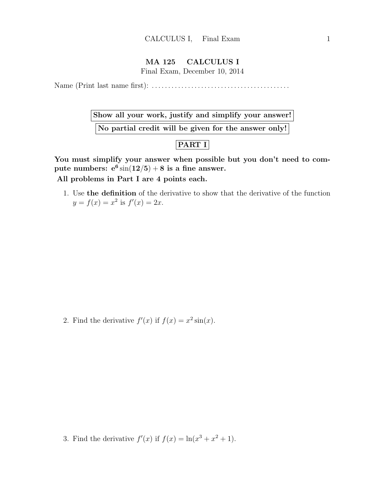## MA 125 CALCULUS I

Final Exam, December 10, 2014

Name (Print last name first): . . . . . . . . . . . . . . . . . . . . . . . . . . . . . . . . . . . . . . . . . .

Show all your work, justify and simplify your answer! No partial credit will be given for the answer only!

## PART I

You must simplify your answer when possible but you don't need to compute numbers:  $e^6 \sin(12/5) + 8$  is a fine answer. All problems in Part I are 4 points each.

1. Use the definition of the derivative to show that the derivative of the function  $y = f(x) = x^2$  is  $f'(x) = 2x$ .

2. Find the derivative  $f'(x)$  if  $f(x) = x^2 \sin(x)$ .

3. Find the derivative  $f'(x)$  if  $f(x) = \ln(x^3 + x^2 + 1)$ .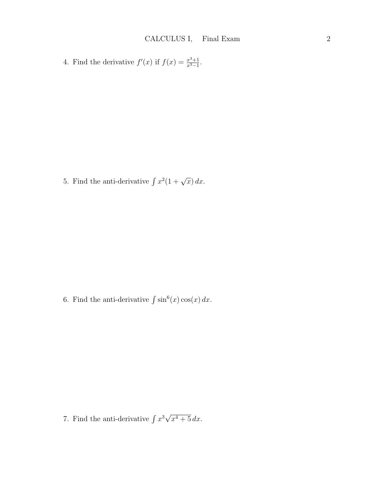4. Find the derivative  $f'(x)$  if  $f(x) = \frac{x^3+1}{x^3-1}$  $\frac{x^3+1}{x^3-1}$ .

5. Find the anti-derivative  $\int x^2(1+\sqrt{x}) dx$ .

6. Find the anti-derivative  $\int \sin^6(x) \cos(x) dx$ .

7. Find the anti-derivative  $\int x^3 \sqrt{ }$  $x^4+5 dx$ .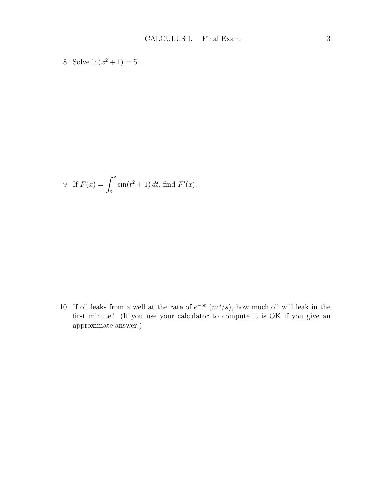8. Solve  $\ln(x^2 + 1) = 5$ .

9. If 
$$
F(x) = \int_2^x \sin(t^2 + 1) dt
$$
, find  $F'(x)$ .

10. If oil leaks from a well at the rate of  $e^{-5t}$   $(m^3/s)$ , how much oil will leak in the first minute? (If you use your calculator to compute it is OK if you give an approximate answer.)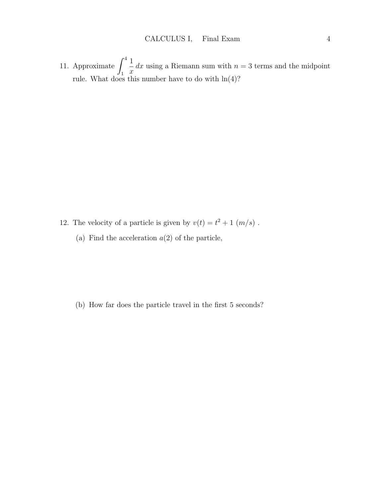11. Approximate  $\int_0^4$ 1 1  $\overline{x}$ dx using a Riemann sum with  $n = 3$  terms and the midpoint rule. What does this number have to do with  $\ln(4)$ ?

- 12. The velocity of a particle is given by  $v(t) = t^2 + 1$   $(m/s)$ .
	- (a) Find the acceleration  $a(2)$  of the particle,

(b) How far does the particle travel in the first 5 seconds?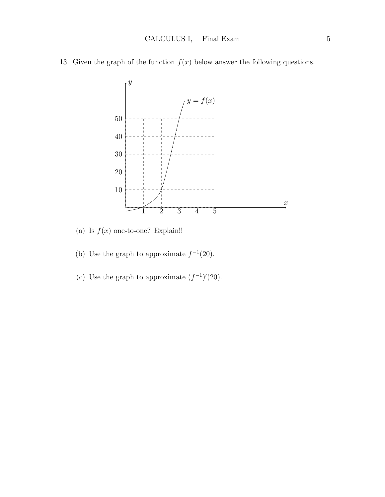13. Given the graph of the function  $f(x)$  below answer the following questions.



(a) Is  $f(x)$  one-to-one? Explain!!

- (b) Use the graph to approximate  $f^{-1}(20)$ .
- (c) Use the graph to approximate  $(f^{-1})'(20)$ .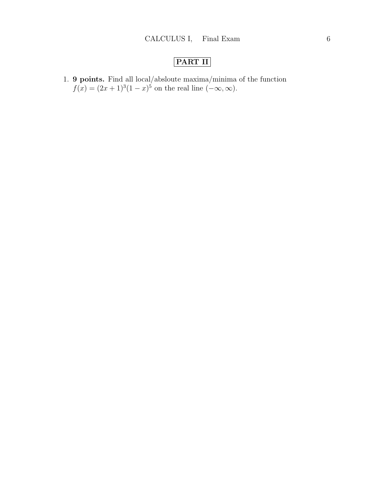## PART II

1. 9 points. Find all local/absloute maxima/minima of the function  $f(x) = (2x+1)^3(1-x)^5$  on the real line  $(-\infty, \infty)$ .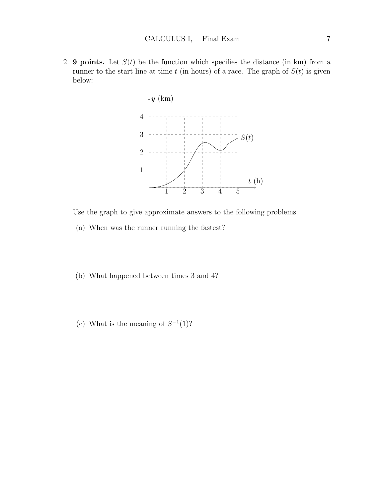2. 9 points. Let  $S(t)$  be the function which specifies the distance (in km) from a runner to the start line at time t (in hours) of a race. The graph of  $S(t)$  is given below:



Use the graph to give approximate answers to the following problems.

- (a) When was the runner running the fastest?
- (b) What happened between times 3 and 4?
- (c) What is the meaning of  $S^{-1}(1)$ ?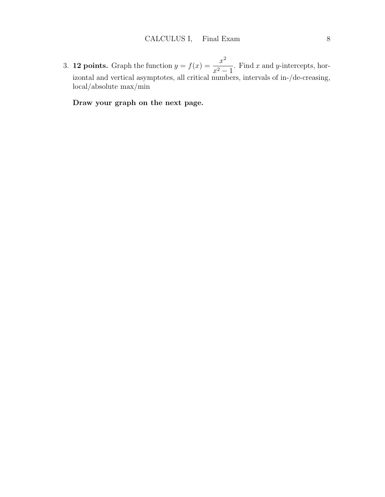3. 12 points. Graph the function  $y = f(x) = \frac{x^2}{x^2}$  $\frac{x}{x^2-1}$ . Find x and y-intercepts, horizontal and vertical asymptotes, all critical numbers, intervals of in-/de-creasing, local/absolute max/min

Draw your graph on the next page.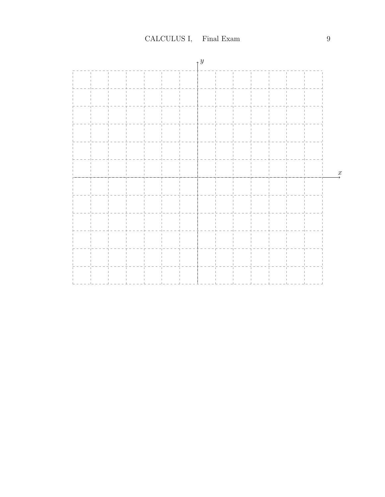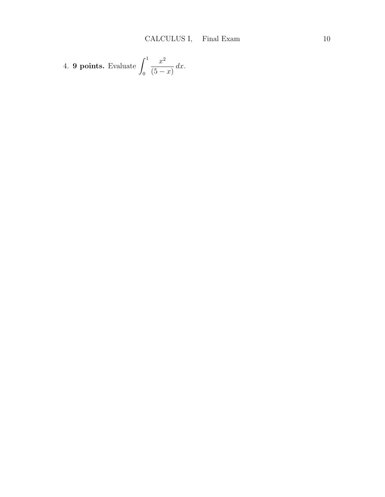4. **9 points.** Evaluate 
$$
\int_0^1 \frac{x^2}{(5-x)} dx.
$$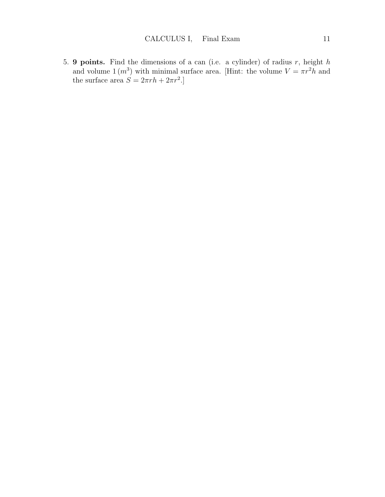5. **9 points.** Find the dimensions of a can (i.e. a cylinder) of radius  $r$ , height  $h$ and volume  $1(m^3)$  with minimal surface area. [Hint: the volume  $V = \pi r^2 h$  and the surface area  $S = 2\pi rh + 2\pi r^2$ .